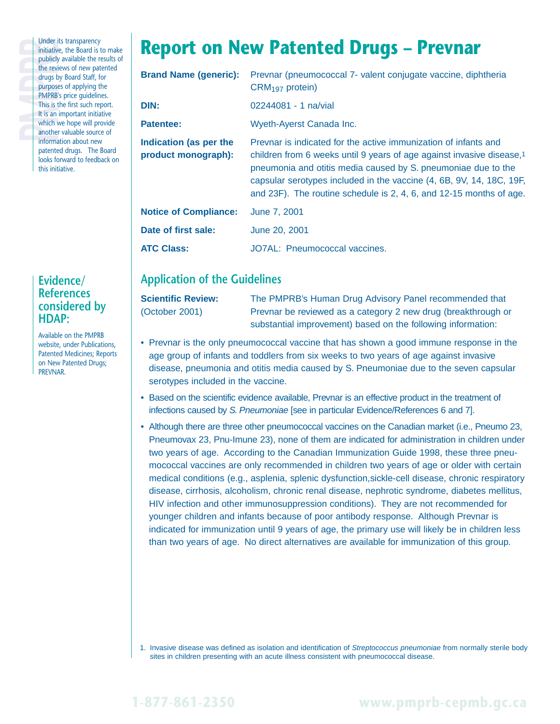Under i<br>
initiative<br>
publicly<br>
the revi<br>
drugs b<br>
purpose<br>
PMPRB<br>
This is t<br>
It is an<br>
which v<br>
another Under its transparency initiative, the Board is to make publicly available the results of the reviews of new patented drugs by Board Staff, for purposes of applying the PMPRB's price guidelines. This is the first such report. It is an important initiative which we hope will provide another valuable source of information about new patented drugs. The Board looks forward to feedback on this initiative.

### **Evidence/ References considered by HDAP:**

Available on the PMPRB website, under Publications, Patented Medicines; Reports on New Patented Drugs; PREVNAR.

# **Report on New Patented Drugs – Prevnar**

| <b>Brand Name (generic):</b>                  | Prevnar (pneumococcal 7- valent conjugate vaccine, diphtheria<br>$CRM197$ protein)                                                                                                                                                                                                                                                                                   |
|-----------------------------------------------|----------------------------------------------------------------------------------------------------------------------------------------------------------------------------------------------------------------------------------------------------------------------------------------------------------------------------------------------------------------------|
| DIN:                                          | $02244081 - 1$ na/vial                                                                                                                                                                                                                                                                                                                                               |
| <b>Patentee:</b>                              | Wyeth-Ayerst Canada Inc.                                                                                                                                                                                                                                                                                                                                             |
| Indication (as per the<br>product monograph): | Prevnar is indicated for the active immunization of infants and<br>children from 6 weeks until 9 years of age against invasive disease, <sup>1</sup><br>pneumonia and otitis media caused by S. pneumoniae due to the<br>capsular serotypes included in the vaccine (4, 6B, 9V, 14, 18C, 19F,<br>and 23F). The routine schedule is 2, 4, 6, and 12-15 months of age. |
| <b>Notice of Compliance:</b>                  | June 7, 2001                                                                                                                                                                                                                                                                                                                                                         |
| Date of first sale:                           | June 20, 2001                                                                                                                                                                                                                                                                                                                                                        |
| <b>ATC Class:</b>                             | JO7AL: Pneumococcal vaccines.                                                                                                                                                                                                                                                                                                                                        |

## **Application of the Guidelines**

**Scientific Review:** The PMPRB's Human Drug Advisory Panel recommended that (October 2001) Prevnar be reviewed as a category 2 new drug (breakthrough or substantial improvement) based on the following information:

- Prevnar is the only pneumococcal vaccine that has shown a good immune response in the age group of infants and toddlers from six weeks to two years of age against invasive disease, pneumonia and otitis media caused by S. Pneumoniae due to the seven capsular serotypes included in the vaccine.
- Based on the scientific evidence available, Prevnar is an effective product in the treatment of infections caused by S. Pneumoniae [see in particular Evidence/References 6 and 7].
- Although there are three other pneumococcal vaccines on the Canadian market (i.e., Pneumo 23, Pneumovax 23, Pnu-Imune 23), none of them are indicated for administration in children under two years of age. According to the Canadian Immunization Guide 1998, these three pneumococcal vaccines are only recommended in children two years of age or older with certain medical conditions (e.g., asplenia, splenic dysfunction,sickle-cell disease, chronic respiratory disease, cirrhosis, alcoholism, chronic renal disease, nephrotic syndrome, diabetes mellitus, HIV infection and other immunosuppression conditions). They are not recommended for younger children and infants because of poor antibody response. Although Prevnar is indicated for immunization until 9 years of age, the primary use will likely be in children less than two years of age. No direct alternatives are available for immunization of this group.

1. Invasive disease was defined as isolation and identification of Streptococcus pneumoniae from normally sterile body sites in children presenting with an acute illness consistent with pneumococcal disease.